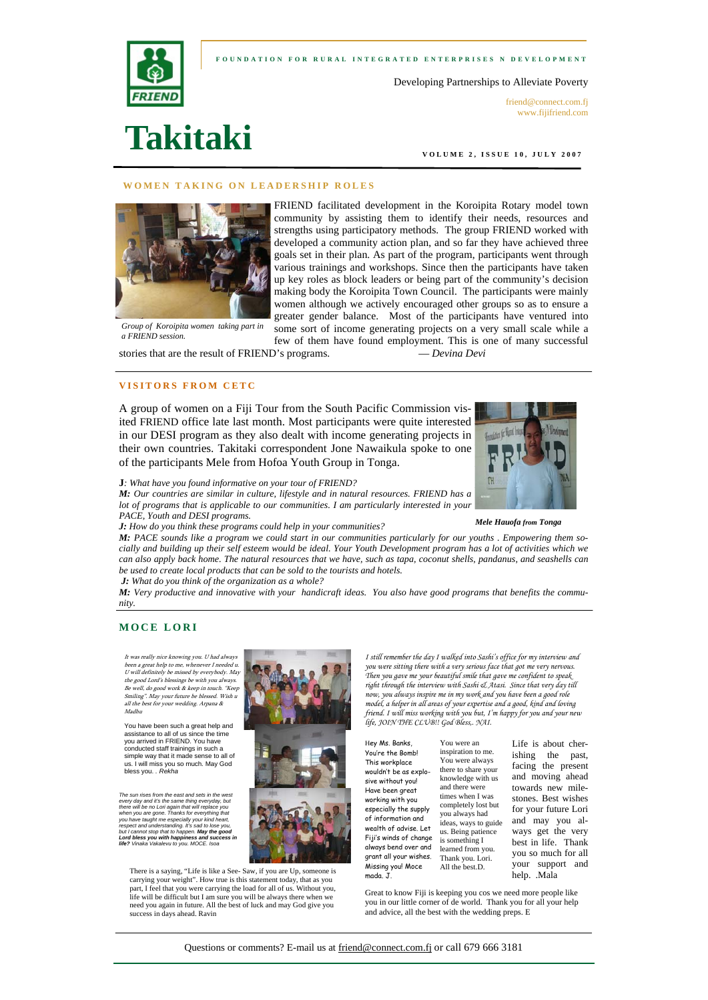



Developing Partnerships to Alleviate Poverty

friend@connect.com.fi www.fijifriend.com

**VOLUME 2, ISSUE 10, JULY 2007** 

#### **WOMEN TAKING ON LEADERSHIP ROLES**



**Takitaki** 

FRIEND facilitated development in the Koroipita Rotary model town community by assisting them to identify their needs, resources and strengths using participatory methods. The group FRIEND worked with developed a community action plan, and so far they have achieved three goals set in their plan. As part of the program, participants went through various trainings and workshops. Since then the participants have taken up key roles as block leaders or being part of the community's decision making body the Koroipita Town Council. The participants were mainly women although we actively encouraged other groups so as to ensure a greater gender balance. Most of the participants have ventured into some sort of income generating projects on a very small scale while a

few of them have found employment. This is one of many successful

*Group of Koroipita women taking part in a FRIEND session.* 

stories that are the result of FRIEND's programs. — *Devina Devi*

## **VISITORS FROM CETC**

A group of women on a Fiji Tour from the South Pacific Commission visited FRIEND office late last month. Most participants were quite interested in our DESI program as they also dealt with income generating projects in their own countries. Takitaki correspondent Jone Nawaikula spoke to one of the participants Mele from Hofoa Youth Group in Tonga.



*M: Our countries are similar in culture, lifestyle and in natural resources. FRIEND has a lot of programs that is applicable to our communities. I am particularly interested in your PACE, Youth and DESI programs.* 

*J: How do you think these programs could help in your communities?* 

*M: PACE sounds like a program we could start in our communities particularly for our youths . Empowering them socially and building up their self esteem would be ideal. Your Youth Development program has a lot of activities which we can also apply back home. The natural resources that we have, such as tapa, coconut shells, pandanus, and seashells can be used to create local products that can be sold to the tourists and hotels. J: What do you think of the organization as a whole?* 

*M: Very productive and innovative with your handicraft ideas. You also have good programs that benefits the community.* 

## **MOCE LORI**

It was really nice knowing you. U had always been a great help to me, whenever I needed u. U will definitely be missed by everybody. May the good Lord's blessings be with you always. Be well, do good work & keep in touch. "Keep Smiling". May your future be blessed. Wish u all the best for your wedding. Arpana & Madhu

You have been such a great help and assistance to all of us since the time you arrived in FRIEND. You have conducted staff trainings in such a simple way that it made sense to all of us. I will miss you so much. May God bless you. *. Rekha* 

*The sun rises from the east and sets in the west*  every day and it's the same thing everyday, but<br>there will be no Lori again that will replace you<br>when you are gone. Thanks for everything that<br>you have taught me especially your kind heart,<br>respect and understanding. It's *Lord bless you with happiness and success in life? Vinaka Vakalevu to you. MOCE. Isoa* 

There is a saying, "Life is like a See- Saw, if you are Up, someone is  $\frac{M}{S}$  and  $\frac{J}{S}$ . carrying your weight". How true is this statement today, that as you part, I feel that you were carrying the load for all of us. Without you, life will be difficult but I am sure you will be always there when we need you again in future. All the best of luck and may God give you success in days ahead. Ravin



*I still remember the day I walked into Sashi's office for my interview and you were sitting there with a very serious face that got me very nervous. Then you gave me your beautiful smile that gave me confident to speak right through the interview with Sashi & Atasi. Since that very day till now, you always inspire me in my work and you have been a good role model, a helper in all areas of your expertise and a good, kind and loving friend. I will miss working with you but, I'm happy for you and your new life, JOIN THE CLUB!! God Bless,. NAI.* 

Hey Ms. Banks, You're the Bomb! This workplace wouldn't be as explosive without you! Have been great working with you especially the supply of information and wealth of advise. Let Fiji's winds of change always bend over and grant all your wishes. Missing you! Moce

You were an inspiration to me. You were always there to share your knowledge with us and there were times when I was completely lost but you always had ideas, ways to guide us. Being patience is something I learned from you. Thank you. Lori. All the best.D.

Life is about cherishing the past, facing the present and moving ahead towards new milestones. Best wishes for your future Lori and may you always get the very best in life. Thank you so much for all your support and help. .Mala

Great to know Fiji is keeping you cos we need more people like you in our little corner of de world. Thank you for all your help and advice, all the best with the wedding preps. E



Questions or comments? E-mail us at friend@connect.com.fj or call 679 666 3181